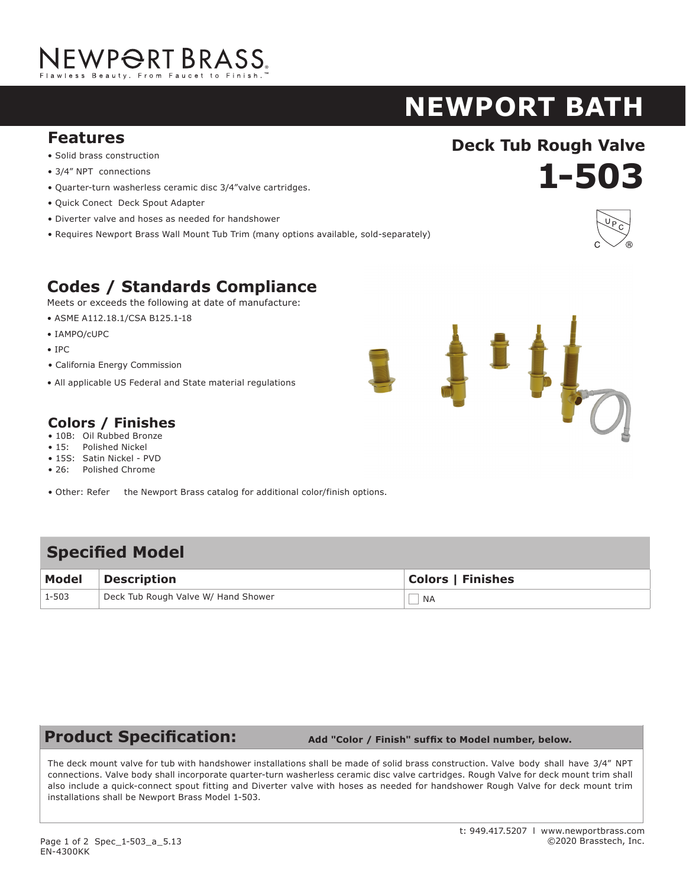# JEWP<del>O</del>RT BRASS.

### **NEWPORT BATH SHOWER EAST LINEAR**

### **Deck Tub Rough Valve**<br> **Solid brass construction Features**

- Solid brass construction
- $\bullet$  3/4" NPT connections
- Quarter-turn washerless ceramic disc 3/4"valve cartridges.
- Quick Conect Deck Spout Adapter **body** as specified (Required Accessory) as specified (Required Accessory) as specified accessory) as specified (Required Accessory) as specified (Required Accessory) and  $R$
- Diverter valve and hoses as needed for handshower
- Requires Newport Brass Wall Mount Tub Trim (many options available, sold-separately) • ADA compliant traditional cross handles

### **Codes / Standards Compliance**

Meets or exceeds the following at date of manufacture:

- $\bullet$  ASME A112.18.1/CSA B125.1-18
- IAMPO/cUPC
- IPC
- 1<sub>1</sub>C<br>• California Energy Commission
- All applicable US Federal and State material regulations **Conservance Complete** All applicable US Fe

#### **Colors / Finishes** Other: Refer to the Newport Brass catalog for additional color/finish options.

- 10B: Oil Rubbed Bronze
- 10B. On Rubbed Bronze<br>• 15: Polished Nickel
- 15S: Satin Nickel PVD
- 26: Polished Chrome **Model Description Colors / Finishes**
- Other: Refer the Newport Brass catalog for additional color/finish options.

#### $\mathbf{v}$  and  $\mathbf{v}$  federal and State material regulations  $\mathbf{v}$ 3-227 Shower System Control Valve Trim (Escutcheon/Handle) 10B 15 15<sup>A</sup> 26 Other **Specifi ed Model**

| <b>Model</b> | Description                         | <b>Colors   Finishes</b> |
|--------------|-------------------------------------|--------------------------|
| 1-503        | Deck Tub Rough Valve W/ Hand Shower | <b>NA</b>                |

### **Product Specification:**

 **Add "Color / Finish" suffix to Model number, below.**

1.5 gallon (5.7 liter) per minute maximum flow rate. Product shall be for 8" (20.3 cm) centers - Maximum 20" (50.8 cm). Product shall incorporate a 1-7/16" (3.7 cm) spout height at outlet and a 5-5/8" (14.3 cm) spout reach (c-c). Faucet shall include a pop-up drain with

The deck mount valve for tub with handshower installations shall be made of solid brass construction. Valve body shall have 3/4" NPT<br>Connections. Valve body shall incorporate quarter-turn washerless ceramic disc valve cart also include a quick-connect spout fitting and Diverter valve with hoses as needed for handshower Rough Valve for deck mount trim  $\; \mid$ installations shall be Newport Brass Model 1-503. The single-control Shower Trim shall be made of solid brass construction. Shower Trim shall include showerhead with arm and The deck mount valve for tub with handshower installations shall be made of solid brass construction. Valve body shall have 3/4" NPT



• 15: Polished Nickel